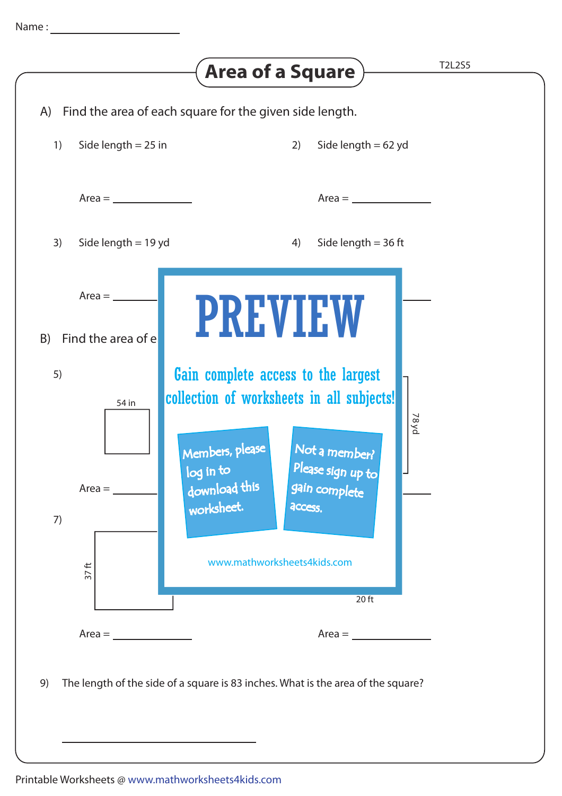